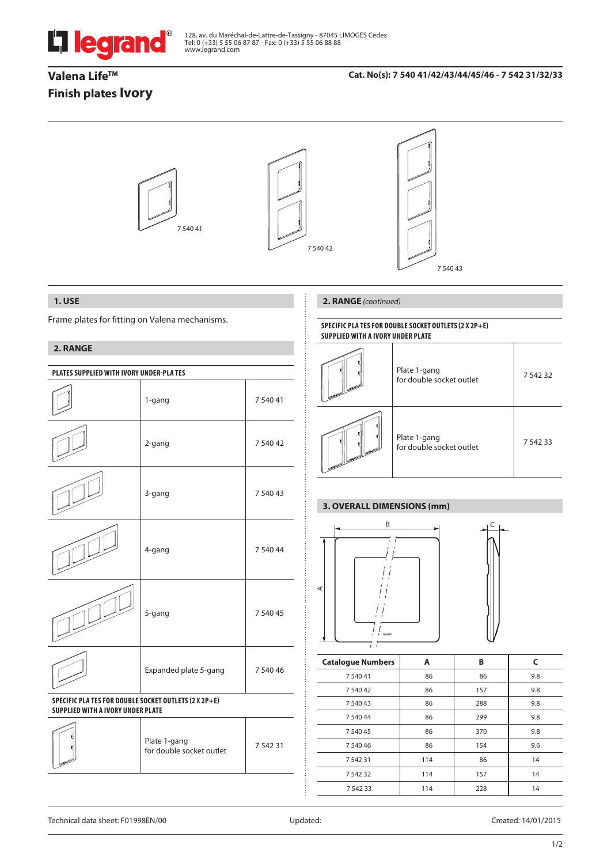

# **Valena Life™ Finish plates Ivory**

#### **Cat. No(s): 7 540 41/42/43/44/45/46 - 7 542 31/32/33**



## **1. USE**

Frame plates for fitting on Valena mechanisms.

# **2. RANGE**

| PLATES SUPPLIED WITH IVORY UNDER-PLATES                                                           |                                          |          |  |  |
|---------------------------------------------------------------------------------------------------|------------------------------------------|----------|--|--|
|                                                                                                   | 1-gang                                   | 7 540 41 |  |  |
|                                                                                                   | 2-gang                                   | 7 540 42 |  |  |
|                                                                                                   | 3-gang                                   | 7 540 43 |  |  |
|                                                                                                   | 4-gang                                   | 7 540 44 |  |  |
|                                                                                                   | 5-gang                                   | 7 540 45 |  |  |
|                                                                                                   | Expanded plate 5-gang                    | 7 540 46 |  |  |
| SPECIFIC PLA TES FOR DOUBLE SOCKET OUTLETS (2 X 2P+E)<br><b>SUPPLIED WITH A IVORY UNDER PLATE</b> |                                          |          |  |  |
|                                                                                                   | Plate 1-gang<br>for double socket outlet | 7 542 31 |  |  |
|                                                                                                   |                                          |          |  |  |

## **2. RANGE** *(continued)*

#### **SPECIFIC PLA TES FOR DOUBLE SOCKET OUTLETS (2 x 2P+E) SUPPLIED WITH A IVORY UNDER PLATE**

| Plate 1-gang<br>for double socket outlet | 7 5 4 2 3 2 |
|------------------------------------------|-------------|
| Plate 1-gang<br>for double socket outlet | 7 5 4 2 3 3 |

# **3. OVERALL DIMENSIONS (mm)**



| <b>Catalogue Numbers</b> | Α   | В   | C   |
|--------------------------|-----|-----|-----|
| 7 540 41                 | 86  | 86  | 9.8 |
| 7 540 42                 | 86  | 157 | 9.8 |
| 7 540 43                 | 86  | 288 | 9.8 |
| 7 540 44                 | 86  | 299 | 9.8 |
| 7 540 45                 | 86  | 370 | 9.8 |
| 7 540 46                 | 86  | 154 | 9.6 |
| 7 542 31                 | 114 | 86  | 14  |
| 7 542 32                 | 114 | 157 | 14  |
| 7 542 33                 | 114 | 228 | 14  |